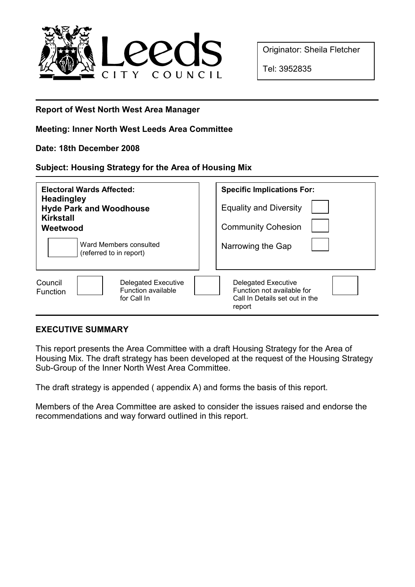

Originator: Sheila Fletcher

Tel: 3952835

# Report of West North West Area Manager

## Meeting: Inner North West Leeds Area Committee

### Date: 18th December 2008

### Subject: Housing Strategy for the Area of Housing Mix

| <b>Electoral Wards Affected:</b><br><b>Headingley</b><br><b>Hyde Park and Woodhouse</b><br><b>Kirkstall</b><br>Weetwood | <b>Specific Implications For:</b><br><b>Equality and Diversity</b><br><b>Community Cohesion</b>      |
|-------------------------------------------------------------------------------------------------------------------------|------------------------------------------------------------------------------------------------------|
| Ward Members consulted<br>(referred to in report)                                                                       | Narrowing the Gap                                                                                    |
| <b>Delegated Executive</b><br>Council<br>Function available<br>Function<br>for Call In                                  | <b>Delegated Executive</b><br>Function not available for<br>Call In Details set out in the<br>report |

# EXECUTIVE SUMMARY

This report presents the Area Committee with a draft Housing Strategy for the Area of Housing Mix. The draft strategy has been developed at the request of the Housing Strategy Sub-Group of the Inner North West Area Committee.

The draft strategy is appended ( appendix A) and forms the basis of this report.

Members of the Area Committee are asked to consider the issues raised and endorse the recommendations and way forward outlined in this report.